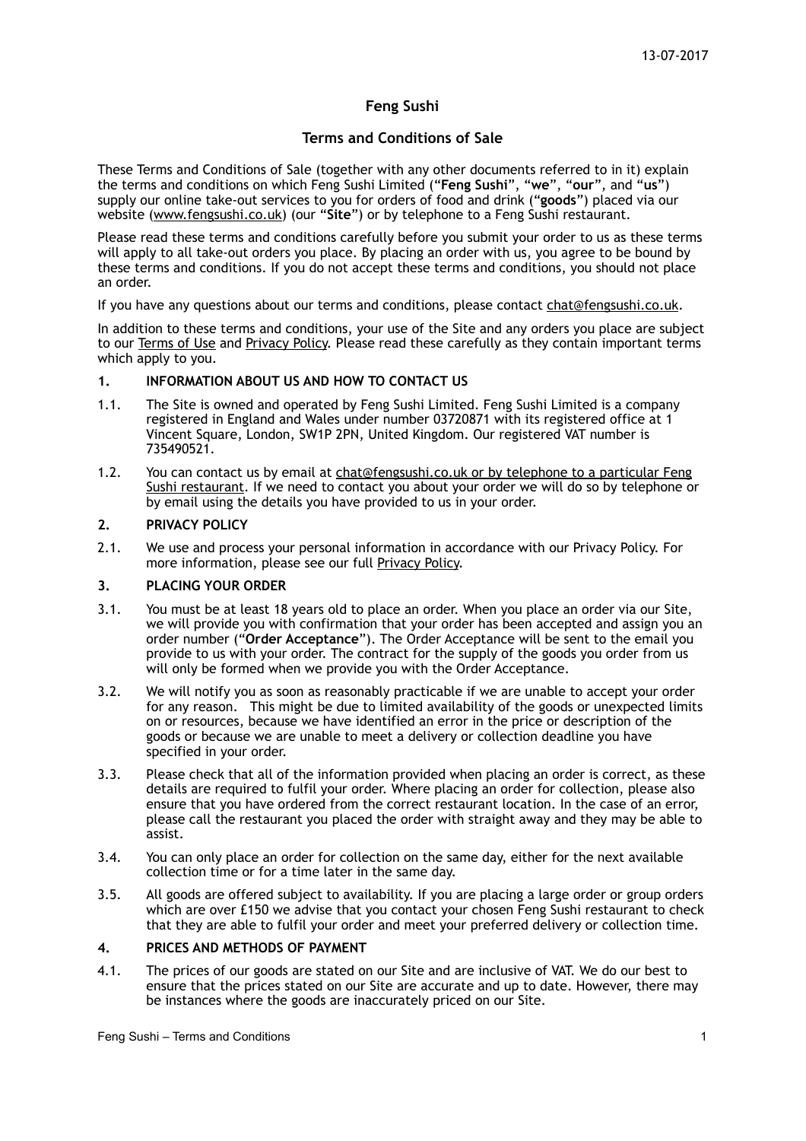# **Feng Sushi**

# **Terms and Conditions of Sale**

These Terms and Conditions of Sale (together with any other documents referred to in it) explain the terms and conditions on which Feng Sushi Limited ("**Feng Sushi**", "**we**", "**our**", and "**us**") supply our online take-out services to you for orders of food and drink ("**goods**") placed via our website [\(www.fengsushi.co.uk](http://www.fengsushi.co.uk)) (our "**Site**") or by telephone to a Feng Sushi restaurant.

Please read these terms and conditions carefully before you submit your order to us as these terms will apply to all take-out orders you place. By placing an order with us, you agree to be bound by these terms and conditions. If you do not accept these terms and conditions, you should not place an order.

If you have any questions about our terms and conditions, please contact [chat@fengsushi.co.uk.](mailto:chat@fengsushi.co.uk)

In addition to these terms and conditions, your use of the Site and any orders you place are subject to our Terms of Use and Privacy Policy. Please read these carefully as they contain important terms which apply to you.

#### **1. INFORMATION ABOUT US AND HOW TO CONTACT US**

- 1.1. The Site is owned and operated by Feng Sushi Limited. Feng Sushi Limited is a company registered in England and Wales under number 03720871 with its registered office at 1 Vincent Square, London, SW1P 2PN, United Kingdom. Our registered VAT number is 735490521.
- 1.2. You can contact us by email at [chat@fengsushi.co.uk](mailto:chat@fengsushi.co.uk) or by telephone to a particular Feng Sushi restaurant. If we need to contact you about your order we will do so by telephone or by email using the details you have provided to us in your order.

### **2. PRIVACY POLICY**

2.1. We use and process your personal information in accordance with our Privacy Policy. For more information, please see our full Privacy Policy.

#### **3. PLACING YOUR ORDER**

- 3.1. You must be at least 18 years old to place an order. When you place an order via our Site, we will provide you with confirmation that your order has been accepted and assign you an order number ("**Order Acceptance**"). The Order Acceptance will be sent to the email you provide to us with your order. The contract for the supply of the goods you order from us will only be formed when we provide you with the Order Acceptance.
- 3.2. We will notify you as soon as reasonably practicable if we are unable to accept your order for any reason. This might be due to limited availability of the goods or unexpected limits on or resources, because we have identified an error in the price or description of the goods or because we are unable to meet a delivery or collection deadline you have specified in your order.
- 3.3. Please check that all of the information provided when placing an order is correct, as these details are required to fulfil your order. Where placing an order for collection, please also ensure that you have ordered from the correct restaurant location. In the case of an error, please call the restaurant you placed the order with straight away and they may be able to assist.
- 3.4. You can only place an order for collection on the same day, either for the next available collection time or for a time later in the same day.
- 3.5. All goods are offered subject to availability. If you are placing a large order or group orders which are over £150 we advise that you contact your chosen Feng Sushi restaurant to check that they are able to fulfil your order and meet your preferred delivery or collection time.

#### **4. PRICES AND METHODS OF PAYMENT**

4.1. The prices of our goods are stated on our Site and are inclusive of VAT. We do our best to ensure that the prices stated on our Site are accurate and up to date. However, there may be instances where the goods are inaccurately priced on our Site.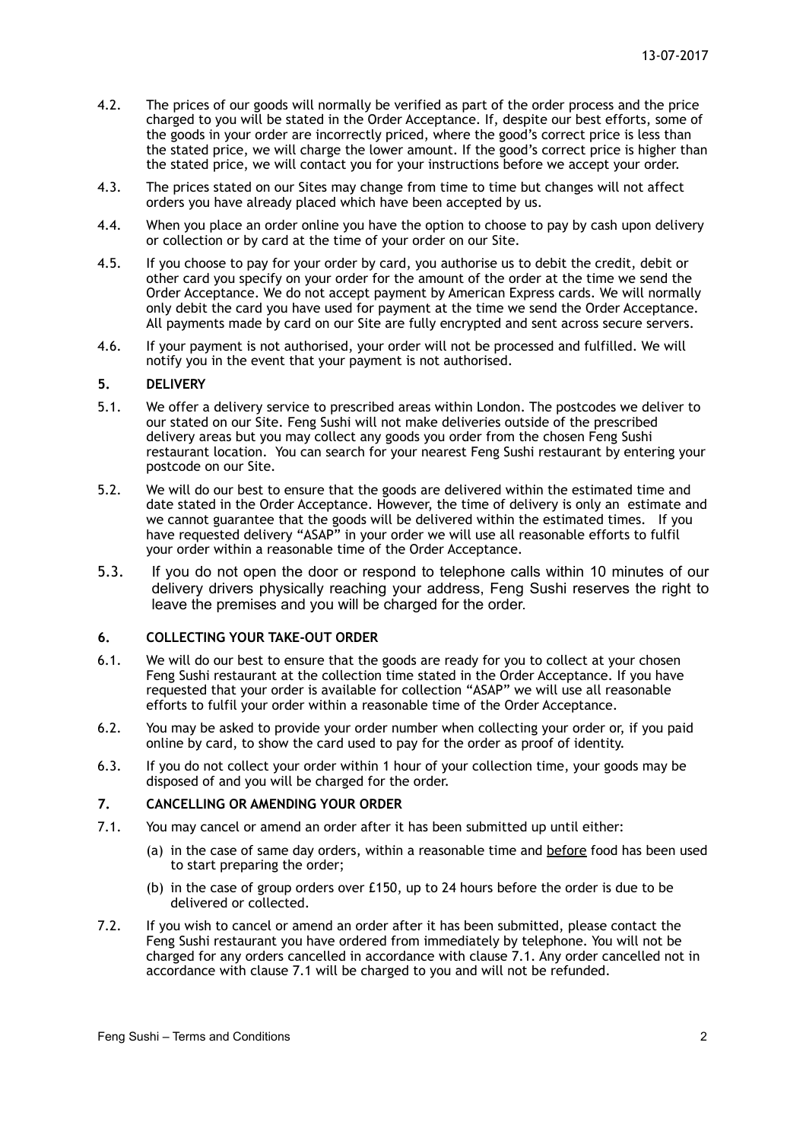- 4.2. The prices of our goods will normally be verified as part of the order process and the price charged to you will be stated in the Order Acceptance. If, despite our best efforts, some of the goods in your order are incorrectly priced, where the good's correct price is less than the stated price, we will charge the lower amount. If the good's correct price is higher than the stated price, we will contact you for your instructions before we accept your order.
- 4.3. The prices stated on our Sites may change from time to time but changes will not affect orders you have already placed which have been accepted by us.
- 4.4. When you place an order online you have the option to choose to pay by cash upon delivery or collection or by card at the time of your order on our Site.
- 4.5. If you choose to pay for your order by card, you authorise us to debit the credit, debit or other card you specify on your order for the amount of the order at the time we send the Order Acceptance. We do not accept payment by American Express cards. We will normally only debit the card you have used for payment at the time we send the Order Acceptance. All payments made by card on our Site are fully encrypted and sent across secure servers.
- 4.6. If your payment is not authorised, your order will not be processed and fulfilled. We will notify you in the event that your payment is not authorised.

#### **5. DELIVERY**

- 5.1. We offer a delivery service to prescribed areas within London. The postcodes we deliver to our stated on our Site. Feng Sushi will not make deliveries outside of the prescribed delivery areas but you may collect any goods you order from the chosen Feng Sushi restaurant location. You can search for your nearest Feng Sushi restaurant by entering your postcode on our Site.
- 5.2. We will do our best to ensure that the goods are delivered within the estimated time and date stated in the Order Acceptance. However, the time of delivery is only an estimate and we cannot guarantee that the goods will be delivered within the estimated times. If you have requested delivery "ASAP" in your order we will use all reasonable efforts to fulfil your order within a reasonable time of the Order Acceptance.
- 5.3. If you do not open the door or respond to telephone calls within 10 minutes of our delivery drivers physically reaching your address, Feng Sushi reserves the right to leave the premises and you will be charged for the order.

# **6. COLLECTING YOUR TAKE-OUT ORDER**

- 6.1. We will do our best to ensure that the goods are ready for you to collect at your chosen Feng Sushi restaurant at the collection time stated in the Order Acceptance. If you have requested that your order is available for collection "ASAP" we will use all reasonable efforts to fulfil your order within a reasonable time of the Order Acceptance.
- 6.2. You may be asked to provide your order number when collecting your order or, if you paid online by card, to show the card used to pay for the order as proof of identity.
- 6.3. If you do not collect your order within 1 hour of your collection time, your goods may be disposed of and you will be charged for the order.

#### **7. CANCELLING OR AMENDING YOUR ORDER**

- 7.1. You may cancel or amend an order after it has been submitted up until either:
	- (a) in the case of same day orders, within a reasonable time and before food has been used to start preparing the order;
	- (b) in the case of group orders over £150, up to 24 hours before the order is due to be delivered or collected.
- 7.2. If you wish to cancel or amend an order after it has been submitted, please contact the Feng Sushi restaurant you have ordered from immediately by telephone. You will not be charged for any orders cancelled in accordance with clause 7.1. Any order cancelled not in accordance with clause 7.1 will be charged to you and will not be refunded.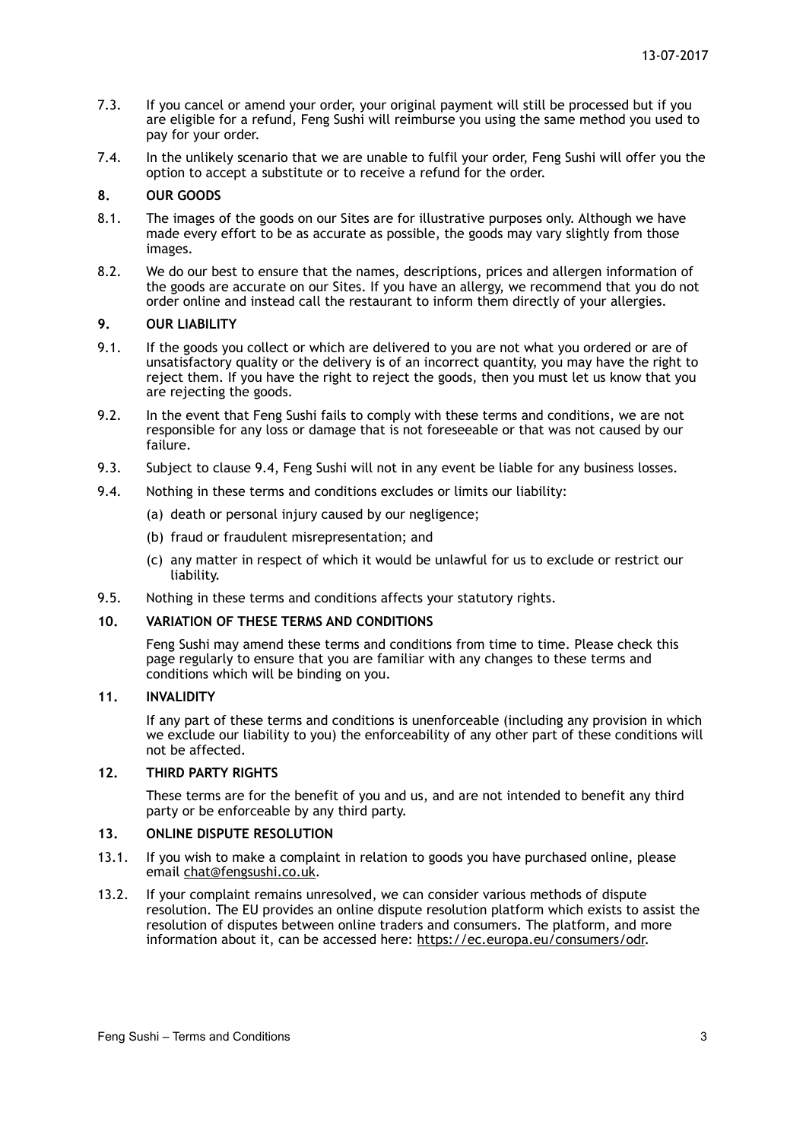- 7.3. If you cancel or amend your order, your original payment will still be processed but if you are eligible for a refund, Feng Sushi will reimburse you using the same method you used to pay for your order.
- 7.4. In the unlikely scenario that we are unable to fulfil your order, Feng Sushi will offer you the option to accept a substitute or to receive a refund for the order.

### **8. OUR GOODS**

- 8.1. The images of the goods on our Sites are for illustrative purposes only. Although we have made every effort to be as accurate as possible, the goods may vary slightly from those images.
- 8.2. We do our best to ensure that the names, descriptions, prices and allergen information of the goods are accurate on our Sites. If you have an allergy, we recommend that you do not order online and instead call the restaurant to inform them directly of your allergies.

#### **9. OUR LIABILITY**

- 9.1. If the goods you collect or which are delivered to you are not what you ordered or are of unsatisfactory quality or the delivery is of an incorrect quantity, you may have the right to reject them. If you have the right to reject the goods, then you must let us know that you are rejecting the goods.
- 9.2. In the event that Feng Sushi fails to comply with these terms and conditions, we are not responsible for any loss or damage that is not foreseeable or that was not caused by our failure.
- 9.3. Subject to clause 9.4, Feng Sushi will not in any event be liable for any business losses.
- 9.4. Nothing in these terms and conditions excludes or limits our liability:
	- (a) death or personal injury caused by our negligence;
	- (b) fraud or fraudulent misrepresentation; and
	- (c) any matter in respect of which it would be unlawful for us to exclude or restrict our liability.
- 9.5. Nothing in these terms and conditions affects your statutory rights.

# **10. VARIATION OF THESE TERMS AND CONDITIONS**

Feng Sushi may amend these terms and conditions from time to time. Please check this page regularly to ensure that you are familiar with any changes to these terms and conditions which will be binding on you.

### **11. INVALIDITY**

If any part of these terms and conditions is unenforceable (including any provision in which we exclude our liability to you) the enforceability of any other part of these conditions will not be affected.

### **12. THIRD PARTY RIGHTS**

These terms are for the benefit of you and us, and are not intended to benefit any third party or be enforceable by any third party.

#### **13. ONLINE DISPUTE RESOLUTION**

- 13.1. If you wish to make a complaint in relation to goods you have purchased online, please email [chat@fengsushi.co.uk.](mailto:chat@fengsushi.co.uk)
- 13.2. If your complaint remains unresolved, we can consider various methods of dispute resolution. The EU provides an online dispute resolution platform which exists to assist the resolution of disputes between online traders and consumers. The platform, and more information about it, can be accessed here: [https://ec.europa.eu/consumers/odr.](https://ec.europa.eu/consumers/odr/main/index.cfm?event=main.home.chooseLanguage)